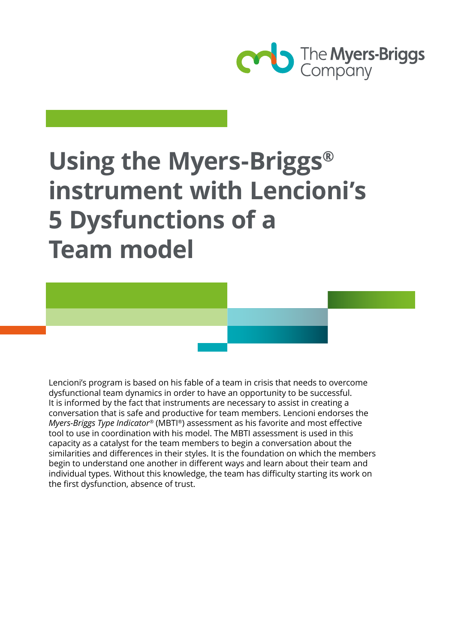

# **Using the Myers-Briggs® instrument with Lencioni's 5 Dysfunctions of a Team model**

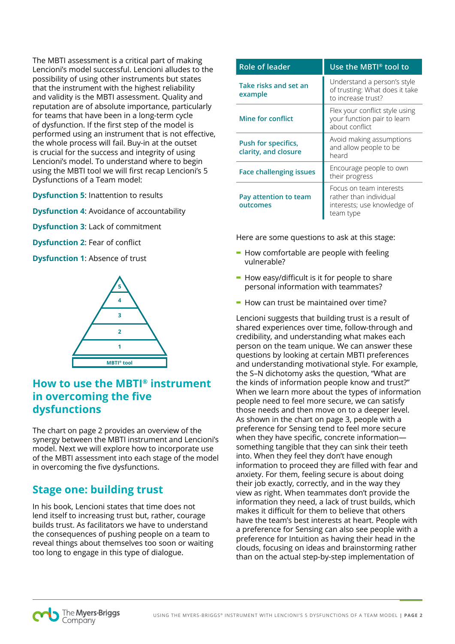The MBTI assessment is a critical part of making Lencioni's model successful. Lencioni alludes to the possibility of using other instruments but states that the instrument with the highest reliability and validity is the MBTI assessment. Quality and reputation are of absolute importance, particularly for teams that have been in a long-term cycle of dysfunction. If the first step of the model is performed using an instrument that is not effective, the whole process will fail. Buy-in at the outset is crucial for the success and integrity of using Lencioni's model. To understand where to begin using the MBTI tool we will first recap Lencioni's 5 Dysfunctions of a Team model:

**Dysfunction 5**: Inattention to results

**Dysfunction 4**: Avoidance of accountability

**Dysfunction 3**: Lack of commitment

**Dysfunction 2**: Fear of conflict

**Dysfunction 1**: Absence of trust



## **How to use the MBTI® instrument in overcoming the five dysfunctions**

The chart on page 2 provides an overview of the synergy between the MBTI instrument and Lencioni's model. Next we will explore how to incorporate use of the MBTI assessment into each stage of the model in overcoming the five dysfunctions.

# **Stage one: building trust**

In his book, Lencioni states that time does not lend itself to increasing trust but, rather, courage builds trust. As facilitators we have to understand the consequences of pushing people on a team to reveal things about themselves too soon or waiting too long to engage in this type of dialogue.

| Role of leader                              | Use the MBTI <sup>®</sup> tool to                                                             |
|---------------------------------------------|-----------------------------------------------------------------------------------------------|
| Take risks and set an<br>example            | Understand a person's style<br>of trusting: What does it take<br>to increase trust?           |
| Mine for conflict                           | Flex your conflict style using<br>your function pair to learn<br>about conflict               |
| Push for specifics,<br>clarity, and closure | Avoid making assumptions<br>and allow people to be<br>heard                                   |
| <b>Face challenging issues</b>              | Encourage people to own<br>their progress                                                     |
| Pay attention to team<br>outcomes           | Focus on team interests<br>rather than individual<br>interests; use knowledge of<br>team type |

Here are some questions to ask at this stage:

- **-** How comfortable are people with feeling vulnerable?
- **-** How easy/difficult is it for people to share personal information with teammates?
- **-** How can trust be maintained over time?

Lencioni suggests that building trust is a result of shared experiences over time, follow-through and credibility, and understanding what makes each person on the team unique. We can answer these questions by looking at certain MBTI preferences and understanding motivational style. For example, the S–N dichotomy asks the question, "What are the kinds of information people know and trust?" When we learn more about the types of information people need to feel more secure, we can satisfy those needs and then move on to a deeper level. As shown in the chart on page 3, people with a preference for Sensing tend to feel more secure when they have specific, concrete information something tangible that they can sink their teeth into. When they feel they don't have enough information to proceed they are filled with fear and anxiety. For them, feeling secure is about doing their job exactly, correctly, and in the way they view as right. When teammates don't provide the information they need, a lack of trust builds, which makes it difficult for them to believe that others have the team's best interests at heart. People with a preference for Sensing can also see people with a preference for Intuition as having their head in the clouds, focusing on ideas and brainstorming rather than on the actual step-by-step implementation of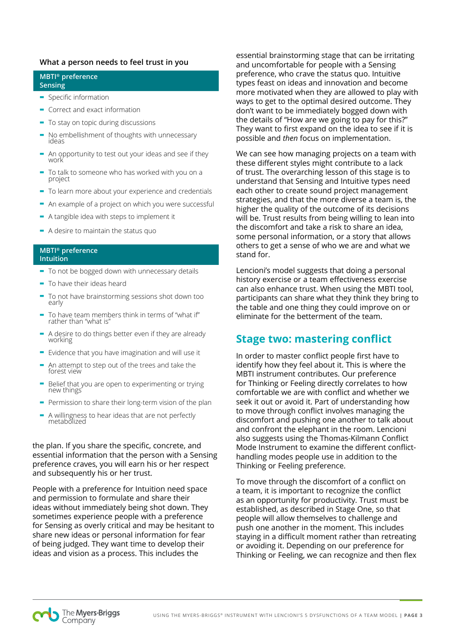#### **What a person needs to feel trust in you**

#### **MBTI® preference Sensing**

- **-** Specific information
- **-** Correct and exact information
- **-** To stay on topic during discussions
- **-** No embellishment of thoughts with unnecessary ideas
- **-** An opportunity to test out your ideas and see if they work
- **-** To talk to someone who has worked with you on a project
- **-** To learn more about your experience and credentials
- **-** An example of a project on which you were successful
- **-** A tangible idea with steps to implement it
- **-** A desire to maintain the status quo

#### **MBTI® preference Intuition**

- **-** To not be bogged down with unnecessary details
- **-** To have their ideas heard
- **-** To not have brainstorming sessions shot down too early
- **-** To have team members think in terms of "what if" rather than "what is"
- **-** A desire to do things better even if they are already working
- **-** Evidence that you have imagination and will use it
- **-** An attempt to step out of the trees and take the forest view
- **-** Belief that you are open to experimenting or trying new things
- **-** Permission to share their long-term vision of the plan
- **-** A willingness to hear ideas that are not perfectly metabolized

the plan. If you share the specific, concrete, and essential information that the person with a Sensing preference craves, you will earn his or her respect and subsequently his or her trust.

People with a preference for Intuition need space and permission to formulate and share their ideas without immediately being shot down. They sometimes experience people with a preference for Sensing as overly critical and may be hesitant to share new ideas or personal information for fear of being judged. They want time to develop their ideas and vision as a process. This includes the

essential brainstorming stage that can be irritating and uncomfortable for people with a Sensing preference, who crave the status quo. Intuitive types feast on ideas and innovation and become more motivated when they are allowed to play with ways to get to the optimal desired outcome. They don't want to be immediately bogged down with the details of "How are we going to pay for this?" They want to first expand on the idea to see if it is possible and *then* focus on implementation.

We can see how managing projects on a team with these different styles might contribute to a lack of trust. The overarching lesson of this stage is to understand that Sensing and Intuitive types need each other to create sound project management strategies, and that the more diverse a team is, the higher the quality of the outcome of its decisions will be. Trust results from being willing to lean into the discomfort and take a risk to share an idea, some personal information, or a story that allows others to get a sense of who we are and what we stand for.

Lencioni's model suggests that doing a personal history exercise or a team effectiveness exercise can also enhance trust. When using the MBTI tool, participants can share what they think they bring to the table and one thing they could improve on or eliminate for the betterment of the team.

## **Stage two: mastering conflict**

In order to master conflict people first have to identify how they feel about it. This is where the MBTI instrument contributes. Our preference for Thinking or Feeling directly correlates to how comfortable we are with conflict and whether we seek it out or avoid it. Part of understanding how to move through conflict involves managing the discomfort and pushing one another to talk about and confront the elephant in the room. Lencioni also suggests using the Thomas-Kilmann Conflict Mode Instrument to examine the different conflicthandling modes people use in addition to the Thinking or Feeling preference.

To move through the discomfort of a conflict on a team, it is important to recognize the conflict as an opportunity for productivity. Trust must be established, as described in Stage One, so that people will allow themselves to challenge and push one another in the moment. This includes staying in a difficult moment rather than retreating or avoiding it. Depending on our preference for Thinking or Feeling, we can recognize and then flex

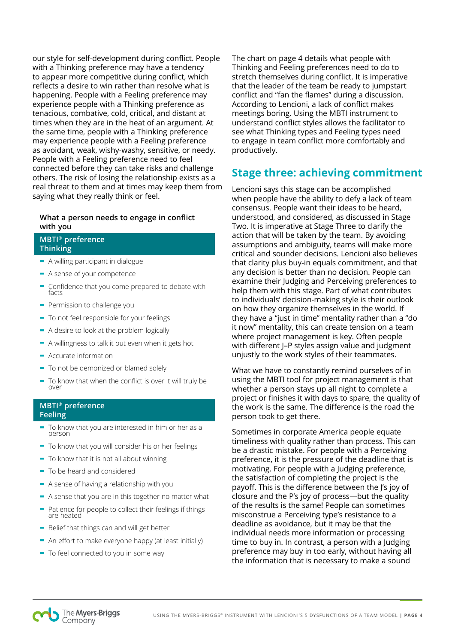our style for self-development during conflict. People with a Thinking preference may have a tendency to appear more competitive during conflict, which reflects a desire to win rather than resolve what is happening. People with a Feeling preference may experience people with a Thinking preference as tenacious, combative, cold, critical, and distant at times when they are in the heat of an argument. At the same time, people with a Thinking preference may experience people with a Feeling preference as avoidant, weak, wishy-washy, sensitive, or needy. People with a Feeling preference need to feel connected before they can take risks and challenge others. The risk of losing the relationship exists as a real threat to them and at times may keep them from saying what they really think or feel.

## **What a person needs to engage in conflict with you**

#### **MBTI® preference Thinking**

- **-** A willing participant in dialogue
- **-** A sense of your competence
- **-** Confidence that you come prepared to debate with facts
- **-** Permission to challenge you
- **-** To not feel responsible for your feelings
- **-** A desire to look at the problem logically
- **-** A willingness to talk it out even when it gets hot
- **-** Accurate information
- **-** To not be demonized or blamed solely
- **-** To know that when the conflict is over it will truly be over

### **MBTI® preference Feeling**

- **-** To know that you are interested in him or her as a person
- **-** To know that you will consider his or her feelings
- **-** To know that it is not all about winning
- **-** To be heard and considered
- **-** A sense of having a relationship with you
- **-** A sense that you are in this together no matter what
- **-** Patience for people to collect their feelings if things are heated
- **-** Belief that things can and will get better
- **-** An effort to make everyone happy (at least initially)
- **-** To feel connected to you in some way

The chart on page 4 details what people with Thinking and Feeling preferences need to do to stretch themselves during conflict. It is imperative that the leader of the team be ready to jumpstart conflict and "fan the flames" during a discussion. According to Lencioni, a lack of conflict makes meetings boring. Using the MBTI instrument to understand conflict styles allows the facilitator to see what Thinking types and Feeling types need to engage in team conflict more comfortably and productively.

## **Stage three: achieving commitment**

Lencioni says this stage can be accomplished when people have the ability to defy a lack of team consensus. People want their ideas to be heard, understood, and considered, as discussed in Stage Two. It is imperative at Stage Three to clarify the action that will be taken by the team. By avoiding assumptions and ambiguity, teams will make more critical and sounder decisions. Lencioni also believes that clarity plus buy-in equals commitment, and that any decision is better than no decision. People can examine their Judging and Perceiving preferences to help them with this stage. Part of what contributes to individuals' decision-making style is their outlook on how they organize themselves in the world. If they have a "just in time" mentality rather than a "do it now" mentality, this can create tension on a team where project management is key. Often people with different J–P styles assign value and judgment unjustly to the work styles of their teammates.

What we have to constantly remind ourselves of in using the MBTI tool for project management is that whether a person stays up all night to complete a project or finishes it with days to spare, the quality of the work is the same. The difference is the road the person took to get there.

Sometimes in corporate America people equate timeliness with quality rather than process. This can be a drastic mistake. For people with a Perceiving preference, it is the pressure of the deadline that is motivating. For people with a Judging preference, the satisfaction of completing the project is the payoff. This is the difference between the J's joy of closure and the P's joy of process—but the quality of the results is the same! People can sometimes misconstrue a Perceiving type's resistance to a deadline as avoidance, but it may be that the individual needs more information or processing time to buy in. In contrast, a person with a Judging preference may buy in too early, without having all the information that is necessary to make a sound

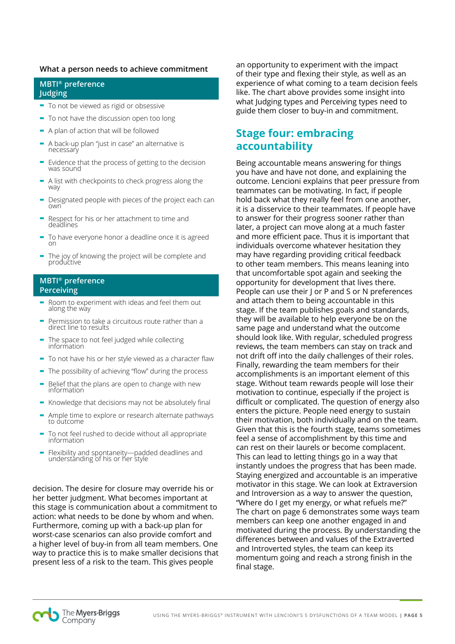#### **What a person needs to achieve commitment**

#### **MBTI® preference Judging**

- **-** To not be viewed as rigid or obsessive
- **-** To not have the discussion open too long
- **-** A plan of action that will be followed
- **-** A back-up plan "just in case" an alternative is necessary
- **-** Evidence that the process of getting to the decision was sound
- **-** A list with checkpoints to check progress along the way
- **-** Designated people with pieces of the project each can own
- **-** Respect for his or her attachment to time and deadlines
- **-** To have everyone honor a deadline once it is agreed on
- **-** The joy of knowing the project will be complete and productive

#### **MBTI® preference Perceiving**

- **-** Room to experiment with ideas and feel them out along the way
- **-** Permission to take a circuitous route rather than a direct line to results
- **-** The space to not feel judged while collecting information
- **-** To not have his or her style viewed as a character flaw
- **-** The possibility of achieving "flow" during the process
- **-** Belief that the plans are open to change with new information
- **-** Knowledge that decisions may not be absolutely final
- **-** Ample time to explore or research alternate pathways to outcome
- **-** To not feel rushed to decide without all appropriate information
- **-** Flexibility and spontaneity—padded deadlines and understanding of his or her style

decision. The desire for closure may override his or her better judgment. What becomes important at this stage is communication about a commitment to action: what needs to be done by whom and when. Furthermore, coming up with a back-up plan for worst-case scenarios can also provide comfort and a higher level of buy-in from all team members. One way to practice this is to make smaller decisions that present less of a risk to the team. This gives people

an opportunity to experiment with the impact of their type and flexing their style, as well as an experience of what coming to a team decision feels like. The chart above provides some insight into what Judging types and Perceiving types need to guide them closer to buy-in and commitment.

## **Stage four: embracing accountability**

Being accountable means answering for things you have and have not done, and explaining the outcome. Lencioni explains that peer pressure from teammates can be motivating. In fact, if people hold back what they really feel from one another, it is a disservice to their teammates. If people have to answer for their progress sooner rather than later, a project can move along at a much faster and more efficient pace. Thus it is important that individuals overcome whatever hesitation they may have regarding providing critical feedback to other team members. This means leaning into that uncomfortable spot again and seeking the opportunity for development that lives there. People can use their J or P and S or N preferences and attach them to being accountable in this stage. If the team publishes goals and standards, they will be available to help everyone be on the same page and understand what the outcome should look like. With regular, scheduled progress reviews, the team members can stay on track and not drift off into the daily challenges of their roles. Finally, rewarding the team members for their accomplishments is an important element of this stage. Without team rewards people will lose their motivation to continue, especially if the project is difficult or complicated. The question of energy also enters the picture. People need energy to sustain their motivation, both individually and on the team. Given that this is the fourth stage, teams sometimes feel a sense of accomplishment by this time and can rest on their laurels or become complacent. This can lead to letting things go in a way that instantly undoes the progress that has been made. Staying energized and accountable is an imperative motivator in this stage. We can look at Extraversion and Introversion as a way to answer the question, "Where do I get my energy, or what refuels me?" The chart on page 6 demonstrates some ways team members can keep one another engaged in and motivated during the process. By understanding the differences between and values of the Extraverted and Introverted styles, the team can keep its momentum going and reach a strong finish in the final stage.

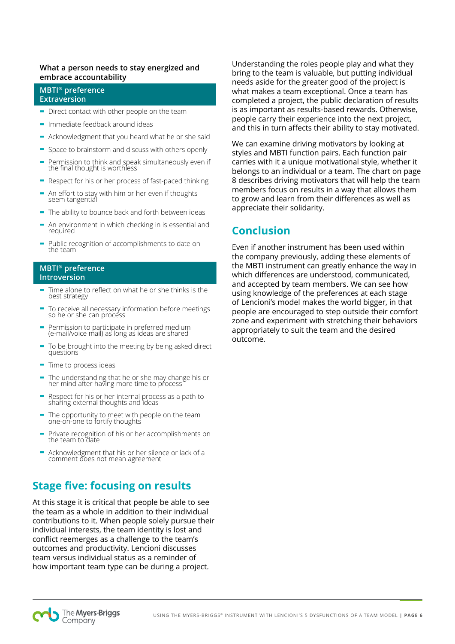#### **What a person needs to stay energized and embrace accountability**

#### **MBTI® preference Extraversion**

- **-** Direct contact with other people on the team
- **-** Immediate feedback around ideas
- **-** Acknowledgment that you heard what he or she said
- **-** Space to brainstorm and discuss with others openly
- **-** Permission to think and speak simultaneously even if the final thought is worthless
- **-** Respect for his or her process of fast-paced thinking
- **-** An effort to stay with him or her even if thoughts seem tangential
- **-** The ability to bounce back and forth between ideas
- **-** An environment in which checking in is essential and required
- **-** Public recognition of accomplishments to date on the team

#### **MBTI® preference Introversion**

- **-** Time alone to reflect on what he or she thinks is the best strategy
- **-** To receive all necessary information before meetings so he or she can process
- **-** Permission to participate in preferred medium (e-mail/voice mail) as long as ideas are shared
- **-** To be brought into the meeting by being asked direct questions
- **-** Time to process ideas
- **-** The understanding that he or she may change his or her mind after having more time to process
- **-** Respect for his or her internal process as a path to sharing external thoughts and ideas
- **-** The opportunity to meet with people on the team one-on-one to fortify thoughts
- **-** Private recognition of his or her accomplishments on the team to date
- **-** Acknowledgment that his or her silence or lack of a comment does not mean agreement

## **Stage five: focusing on results**

At this stage it is critical that people be able to see the team as a whole in addition to their individual contributions to it. When people solely pursue their individual interests, the team identity is lost and conflict reemerges as a challenge to the team's outcomes and productivity. Lencioni discusses team versus individual status as a reminder of how important team type can be during a project.

Understanding the roles people play and what they bring to the team is valuable, but putting individual needs aside for the greater good of the project is what makes a team exceptional. Once a team has completed a project, the public declaration of results is as important as results-based rewards. Otherwise, people carry their experience into the next project, and this in turn affects their ability to stay motivated.

We can examine driving motivators by looking at styles and MBTI function pairs. Each function pair carries with it a unique motivational style, whether it belongs to an individual or a team. The chart on page 8 describes driving motivators that will help the team members focus on results in a way that allows them to grow and learn from their differences as well as appreciate their solidarity.

# **Conclusion**

Even if another instrument has been used within the company previously, adding these elements of the MBTI instrument can greatly enhance the way in which differences are understood, communicated, and accepted by team members. We can see how using knowledge of the preferences at each stage of Lencioni's model makes the world bigger, in that people are encouraged to step outside their comfort zone and experiment with stretching their behaviors appropriately to suit the team and the desired outcome.

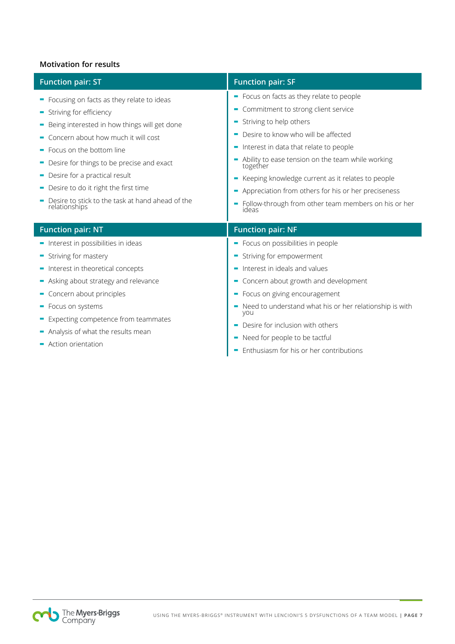## **Motivation for results**

I

| <b>Function pair: ST</b>                                                                                                                                                                                                                                                                                                                                                               | <b>Function pair: SF</b>                                                                                                                                                                                                                                                                                                                                                                                                                     |
|----------------------------------------------------------------------------------------------------------------------------------------------------------------------------------------------------------------------------------------------------------------------------------------------------------------------------------------------------------------------------------------|----------------------------------------------------------------------------------------------------------------------------------------------------------------------------------------------------------------------------------------------------------------------------------------------------------------------------------------------------------------------------------------------------------------------------------------------|
| - Focusing on facts as they relate to ideas<br>Striving for efficiency<br>Being interested in how things will get done<br>• Concern about how much it will cost<br>Focus on the bottom line<br>Desire for things to be precise and exact<br>Desire for a practical result<br>Desire to do it right the first time<br>Desire to stick to the task at hand ahead of the<br>relationships | • Focus on facts as they relate to people<br>• Commitment to strong client service<br>Striving to help others<br>Desire to know who will be affected<br>Interest in data that relate to people<br>Ability to ease tension on the team while working<br>together<br>Keeping knowledge current as it relates to people<br>Appreciation from others for his or her preciseness<br>Follow-through from other team members on his or her<br>ideas |
| <b>Function pair: NT</b>                                                                                                                                                                                                                                                                                                                                                               | <b>Function pair: NF</b>                                                                                                                                                                                                                                                                                                                                                                                                                     |
| - Interest in possibilities in ideas<br>- Striving for mastery<br>- Interest in theoretical concepts<br>- Asking about strategy and relevance<br>- Concern about principles<br>• Focus on systems<br>Expecting competence from teammates<br>- Analysis of what the results mean<br>- Action orientation                                                                                | - Focus on possibilities in people<br>Striving for empowerment<br>Interest in ideals and values<br>Concern about growth and development<br>- Focus on giving encouragement<br>Need to understand what his or her relationship is with<br>you<br>Desire for inclusion with others<br>Need for people to be tactful<br>Enthusiasm for his or her contributions                                                                                 |